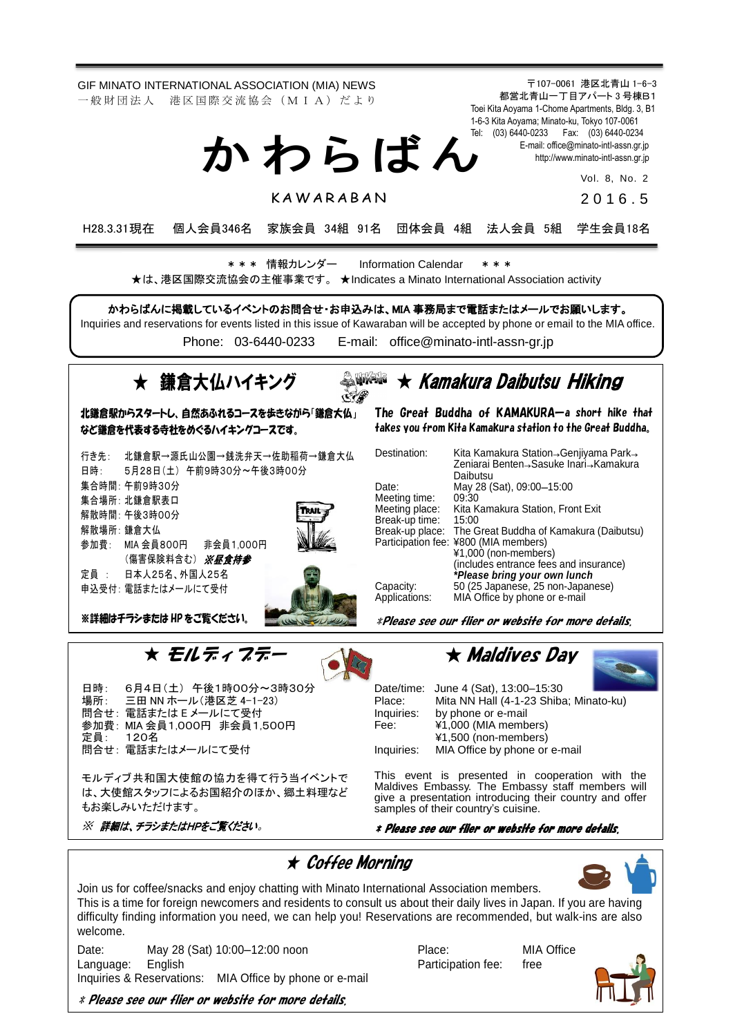〒107-0061 港区北青山 1-6-3 都営北青山一丁目アパート 3 号棟B1 Toei Kita Aoyama 1-Chome Apartments, Bldg. 3, B1 1-6-3 Kita Aoyama; Minato-ku, Tokyo 107-0061 Tel: (03) 6440-0233 Fax: (03) 6440-0234 E-mail[: office@minato-intl-assn.gr.jp](mailto:office@minato-intl-assn.gr.jp) [http://www.minato-intl-assn.gr.jp](http://www.minato-intl-assn.gr.jp/) Vol. 8, No. 2 2 0 1 6 . 5 GIF MINATO INTERNATIONAL ASSOCIATION (MIA) NEWS 一 般 財 団 法 人 港 区 国 際 交 流 協 会 (M I A) だ よ り か わ ら ば ん **KAWARARAN** H28.3.31現在 個人会員346名 家族会員 34組 91名 団体会員 4組 法人会員 5組 学生会員18名 \* \* \* 情報カレンダー Information Calendar \* \* \*

★は、港区国際交流協会の主催事業です。 ★Indicates a Minato International Association activity

かわらばんに掲載しているイベントのお問合せ・お申込みは、MIA 事務局まで電話またはメールでお願いします。

Inquiries and reservations for events listed in this issue of Kawaraban will be accepted by phone or email to the MIA office. Phone: [03-6440-0233](mailto:TEL:%0903-6440-0233) E-mail: [office@minato-intl-assn-gr.jp](mailto:office@minato-intl-assn-gr.jp)



場所: 三田 NN ホール(港区芝 4-1-23) 問合せ: 電話または E メールにて受付 参加費: MIA 会員1,000円 非会員1,500円 定員: 120名 問合せ: 電話またはメールにて受付

モルディブ共和国大使館の協力を得て行う当イベントで は、大使館スタッフによるお国紹介のほか、郷土料理など もお楽しみいただけます。

※ 詳細は、チラシまたはHPをご覧ください。

## Place: Mita NN Hall (4-1-23 Shiba; Minato-ku) Inquiries: by phone or e-mail<br>Fee:  $\angle$  \\epsilong 1.000 (MIA member ¥1,000 (MIA members)

¥1,500 (non-members)

Inquiries: MIA Office by phone or e-mail

This event is presented in cooperation with the Maldives Embassy. The Embassy staff members will give a presentation introducing their country and offer samples of their country's cuisine.

### \* Please see our flier or website for more details.